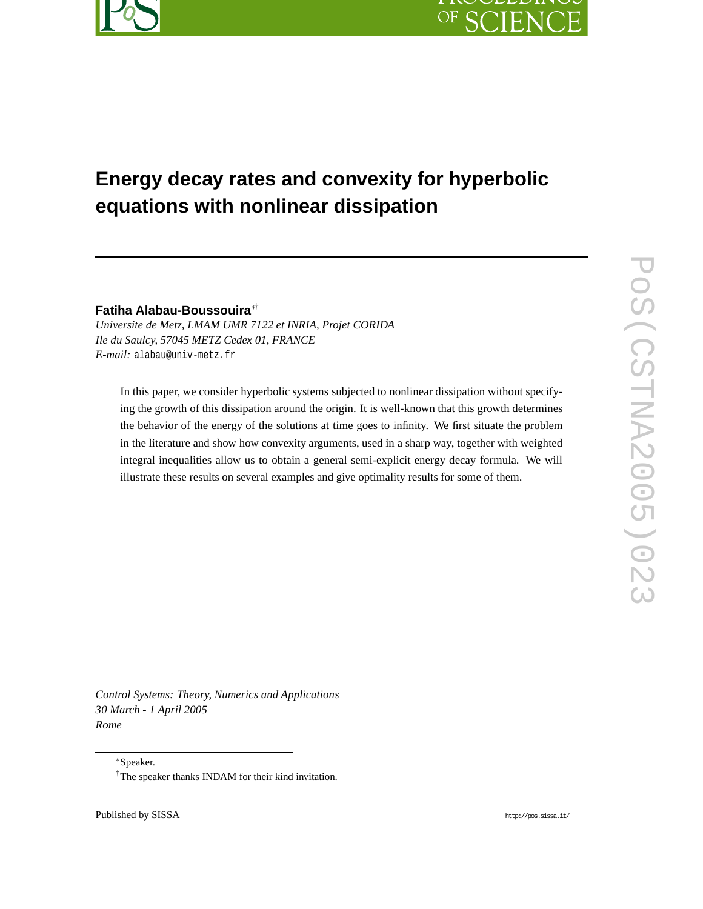# **Energy decay rates and convexity for hyperbolic equations with nonlinear dissipation**

**Fatiha Alabau-Boussouira**∗†

*Universite de Metz, LMAM UMR 7122 et INRIA, Projet CORIDA Ile du Saulcy, 57045 METZ Cedex 01, FRANCE E-mail:* alabau@univ-metz.fr

In this paper, we consider hyperbolic systems subjected to nonlinear dissipation without specifying the growth of this dissipation around the origin. It is well-known that this growth determines the behavior of the energy of the solutions at time goes to infinity. We first situate the problem in the literature and show how convexity arguments, used in a sharp way, together with weighted integral inequalities allow us to obtain a general semi-explicit energy decay formula. We will illustrate these results on several examples and give optimality results for some of them.

*Control Systems: Theory, Numerics and Applications 30 March - 1 April 2005 Rome*

<sup>∗</sup>Speaker.

<sup>†</sup>The speaker thanks INDAM for their kind invitation.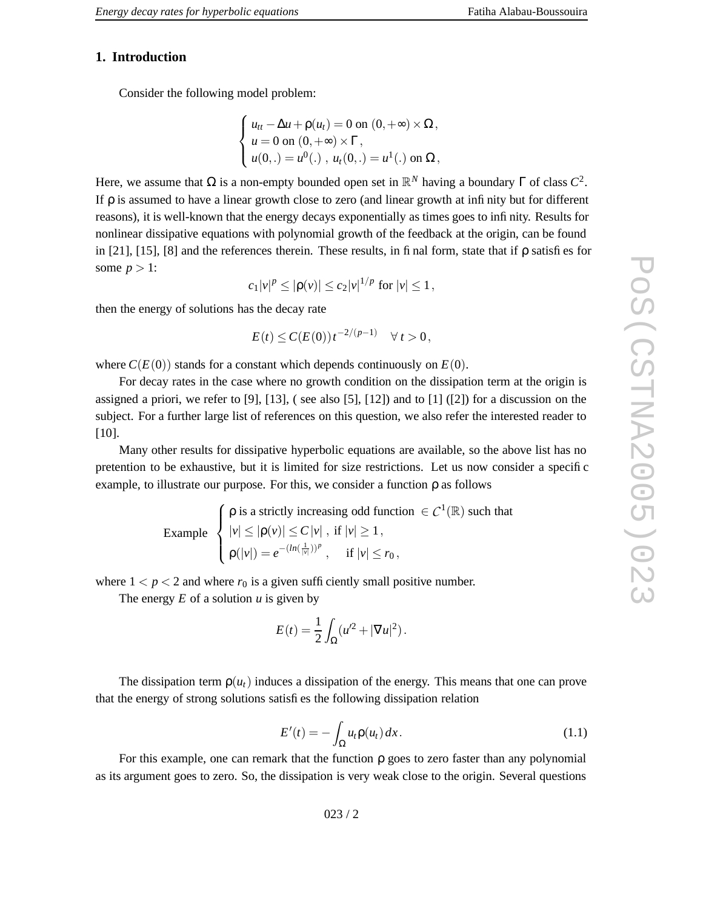## **1. Introduction**

Consider the following model problem:

$$
\begin{cases}\n u_{tt} - \Delta u + \rho(u_t) = 0 \text{ on } (0, +\infty) \times \Omega, \\
 u = 0 \text{ on } (0, +\infty) \times \Gamma, \\
 u(0,.) = u^0(.), u_t(0,.) = u^1(.) \text{ on } \Omega,\n\end{cases}
$$

Here, we assume that  $\Omega$  is a non-empty bounded open set in  $\mathbb{R}^N$  having a boundary  $\Gamma$  of class  $C^2$ . If ρ is assumed to hav e a linear growth close to zero (and linear growth at infinity but for different reasons), it is well-known that the energy decays exponentially as times goes to infinity . Results for nonlinear dissipative equations with polynomial growth of the feedback at the origin, can be found in [21], [15], [8] and the references therein. These results, in final form, state that if ρ satisfies for some  $p > 1$ :

$$
c_1|v|^p \leq |\rho(v)| \leq c_2|v|^{1/p}
$$
 for  $|v| \leq 1$ ,

then the energy of solutions has the decay rate

$$
E(t) \le C(E(0)) t^{-2/(p-1)} \quad \forall t > 0,
$$

where  $C(E(0))$  stands for a constant which depends continuously on  $E(0)$ .

For decay rates in the case where no growth condition on the dissipation term at the origin is assigned a priori, we refer to [9], [13], ( see also [5], [12]) and to [1] ([2]) for a discussion on the subject. For a further large list of references on this question, we also refer the interested reader to [10].

Many other results for dissipative hyperbolic equations are available, so the above list has no pretention to be exhaustive, but it is limited for size restrictions. Let us now consider a specific example, to illustrate our purpose. For this, we consider a function ρ as follows

> Example  $\left\{\begin{matrix} 0 \\ 0 \\ 0 \\ 0 \end{matrix}\right.$  $ρ$  is a strictly increasing odd function  $\in C^1(\mathbb{R})$  such that  $|v| \leq |\rho(v)| \leq C |v|$ , if  $|v| \geq 1$ ,  $\rho(|v|) = e^{-(ln(\frac{1}{|v|}))^p}$ , if  $|v| \le r_0$ ,

where  $1 < p < 2$  and where  $r_0$  is a given sufficiently small positive number.

The energy  $E$  of a solution  $u$  is given by

$$
E(t) = \frac{1}{2} \int_{\Omega} (u'^2 + |\nabla u|^2).
$$

The dissipation term  $p(u_t)$  induces a dissipation of the energy. This means that one can prove that the energy of strong solutions satisfies the following dissipation relation

$$
E'(t) = -\int_{\Omega} u_t \rho(u_t) dx.
$$
 (1.1)

For this example, one can remark that the function ρ goes to zero faster than any polynomial as its argument goes to zero. So, the dissipation is very weak close to the origin. Se veral questions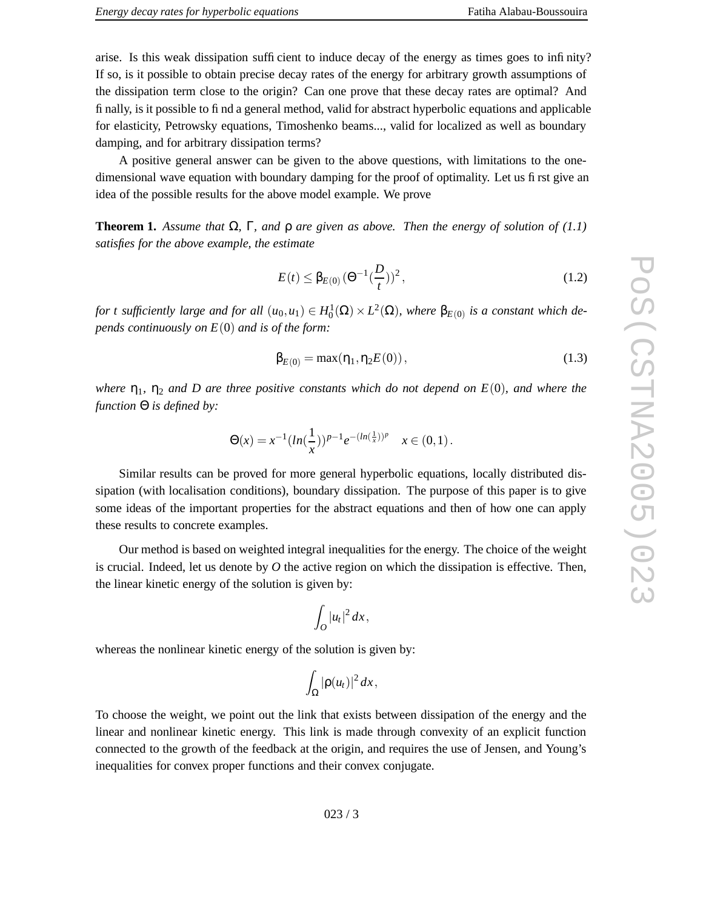A positive general answer can be given to the abo v e questions, with limitations to the onedimensional wave equation with boundary damping for the proof of optimality. Let us first give an idea of the possible results for the above model example. We prove

**Theorem 1.** Assume that  $\Omega$ ,  $\Gamma$ , and  $\rho$  are given as above. Then the energy of solution of (1.1) *satisfies for the above example , the estimate*

$$
E(t) \leq \beta_{E(0)} \left(\Theta^{-1} \left(\frac{D}{t}\right)\right)^2,\tag{1.2}
$$

for t sufficiently large and for all  $(u_0, u_1) \in H_0^1(\Omega) \times L^2(\Omega)$ , where  $\beta_{E(0)}$  is a constant which de*pends continuously on E*(0) *and is of the form:*

$$
\beta_{E(0)} = \max(\eta_1, \eta_2 E(0)), \qquad (1.3)
$$

where  $\eta_1$ ,  $\eta_2$  and D are three positive constants which do not depend on  $E(0)$ , and where the *function* Θ *is defined by:*

$$
\Theta(x) = x^{-1} (\ln(\frac{1}{x}))^{p-1} e^{-(\ln(\frac{1}{x}))^p} \quad x \in (0,1).
$$

Similar results can be pro ved for more general hyperbolic equations, locally distributed dissipation (with localisation conditions), boundary dissipation. The purpose of this paper is to give some ideas of the important properties for the abstract equations and then of ho w one can apply these results to concrete examples.

Our method is based on weighted integral inequalities for the energy . The choice of the weight is crucial. Indeed, let us denote by  $O$  the active region on which the dissipation is effective. Then, the linear kinetic energy of the solution is given by:

$$
\int_O |u_t|^2\,dx,
$$

whereas the nonlinear kinetic energy of the solution is given by:

$$
\int_{\Omega}|\rho(u_t)|^2\,dx,
$$

To choose the weight, we point out the link that exists between dissipation of the energy and the linear and nonlinear kinetic energy. This link is made through convexity of an explicit function connected to the growth of the feedback at the origin, and requires the use of Jensen, and Young' s inequalities for convex proper functions and their convex conjugate.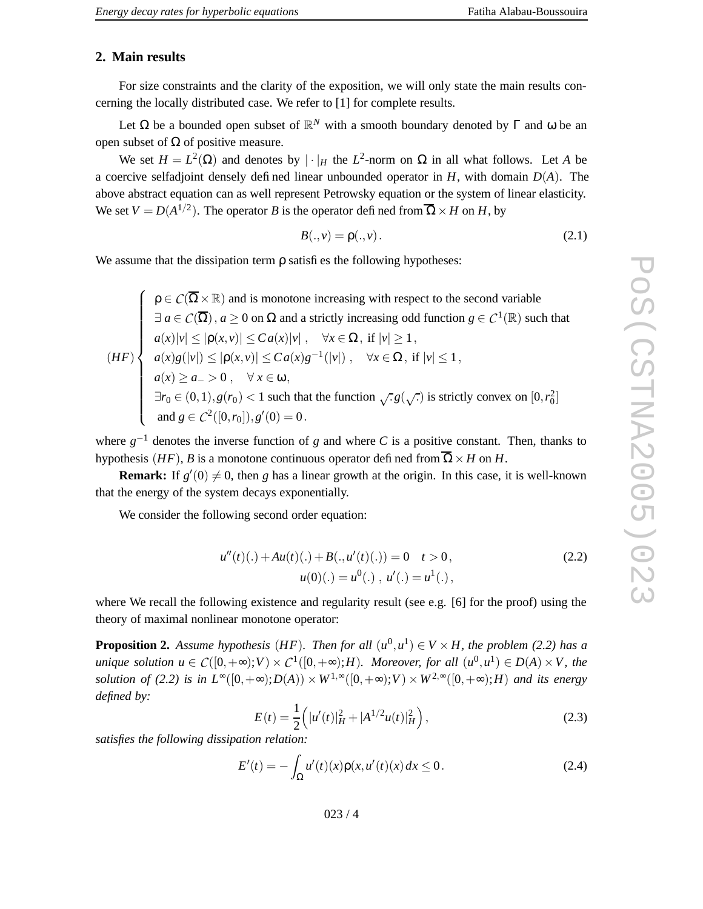## **2. Main results**

For size constraints and the clarity of the exposition, we will only state the main results concerning the locally distributed case. We refer to [1] for complete results.

Let Ω be a bounded open subset of  $\mathbb{R}^N$  with a smooth boundary denoted by Γ and ω be an open subset of  $\Omega$  of positive measure.

We set  $H = L^2(\Omega)$  and denotes by  $|\cdot|_H$  the  $L^2$ -norm on  $\Omega$  in all what follows. Let A be a coerci v e selfadjoint densely defined linear unbounded operator in *H* , with domain *D* ( *A* ) . The abo v e abstract equation can as well represent Petrowsky equation or the system of linear elasticity . We set  $V = D(A^{1/2})$ . The operator *B* is the operator defined from  $\overline{\Omega} \times H$  on *H*, by

$$
B(.,v) = \rho(.,v). \tag{2.1}
$$

We assume that the dissipation term ρ satisfies the following hypotheses:

( *H F* )  $\begin{picture}(150,10) \put(0,0){\line(1,0){10}} \put(10,0){\line(1,0){10}} \put(10,0){\line(1,0){10}} \put(10,0){\line(1,0){10}} \put(10,0){\line(1,0){10}} \put(10,0){\line(1,0){10}} \put(10,0){\line(1,0){10}} \put(10,0){\line(1,0){10}} \put(10,0){\line(1,0){10}} \put(10,0){\line(1,0){10}} \put(10,0){\line(1,0){10}} \put(10,0){\line($  $\rho \in C(\overline{\Omega} \times \mathbb{R})$  and is monotone increasing with respect to the second variable  $\rho \in \mathcal{C}(\overline{\Omega} \times \mathbb{R})$  and is monotone increasing with respect to the second variable  $\exists a \in C(\overline{\Omega})$ ,  $a \ge 0$  on  $\Omega$  and a strictly increasing odd function  $g \in C^1(\mathbb{R})$  such that  $a(x)|v| \leq |\rho(x,v)| \leq C a(x)|v|$ ,  $\forall x \in \Omega$ , if  $|v| \geq 1$ ,  $a(x)g(|v|) \leq |\rho(x,v)| \leq Ca(x)g^{-1}(|v|) , \quad \forall x \in \Omega, \text{ if } |v| \leq 1,$  $a(x) \ge a_- > 0$ ,  $\forall x \in \omega$ , ∃*r*<sup>0</sup> ∈ (0, 1), *g*(*r*<sup>0</sup>) < 1 such that the function  $\sqrt{.} g(\sqrt{.})$  is strictly convex on  $[0, r_0^2]$ and  $g \in C^2([0,r_0]), g'(0) = 0$ .

where  $g^{-1}$  denotes the inverse function of g and where C is a positive constant. Then, thanks to hypothesis (*HF*), *B* is a monotone continuous operator defined from  $\overline{\Omega} \times H$  on *H*.

**Remark:** If  $g'(0) \neq 0$ , then g has a linear growth at the origin. In this case, it is well-known that the energy of the system decays exponentially .

We consider the following second order equation:

$$
u''(t)(.) + Au(t)(.) + B(., u'(t)(.)) = 0 \t t > 0,
$$
  

$$
u(0)(.) = u^{0}(.) , u'(.) = u^{1}(.) ,
$$
 (2.2)

where We recall the following existence and regularity result (see e.g. [6 ] for the proof) using the theory of maximal nonlinear monotone operator:

**Proposition 2.** Assume hypothesis (HF). Then for all  $(u^0, u^1) \in V \times H$ , the problem (2.2) has a unique solution  $u \in C([0,+\infty);V) \times C^1([0,+\infty);H)$ . Moreover, for all  $(u^0,u^1) \in D(A) \times V$ , the solution of (2.2) is in  $L^{\infty}([0,+\infty);D(A)) \times W^{1,\infty}([0,+\infty);V) \times W^{2,\infty}([0,+\infty);H)$  and its energy *defined by:*

$$
E(t) = \frac{1}{2} \left( |u'(t)|_H^2 + |A^{1/2}u(t)|_H^2 \right),
$$
\n(2.3)

*satisfies the following dissipation relation:*

$$
E'(t) = -\int_{\Omega} u'(t)(x)\rho(x, u'(t)(x) dx \le 0.
$$
 (2.4)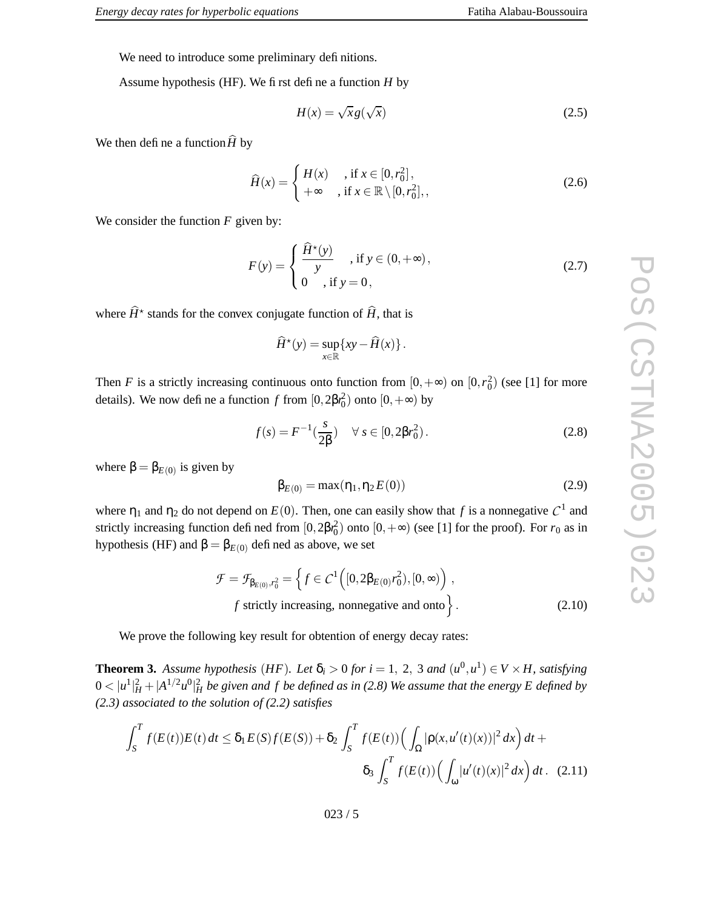We need to introduce some preliminary definitions.

Assume hypothesis (HF). We first define a function *H* by

$$
H(x) = \sqrt{x}g(\sqrt{x})
$$
\n(2.5)

We then define a function  $\ddot{H}$  by

$$
\widehat{H}(x) = \begin{cases} H(x) & \text{, if } x \in [0, r_0^2], \\ +\infty & \text{, if } x \in \mathbb{R} \setminus [0, r_0^2], \end{cases} \tag{2.6}
$$

We consider the function  $F$  given by:

$$
F(y) = \begin{cases} \frac{\hat{H}^*(y)}{y} , \text{ if } y \in (0, +\infty), \\ 0 , \text{ if } y = 0, \end{cases}
$$
 (2.7)

where  $\widehat{H}^*$  stands for the convex conjugate function of  $\widehat{H}$ , that is

$$
\widehat{H}^{\star}(y) = \sup_{x \in \mathbb{R}} \{ xy - \widehat{H}(x) \}.
$$

Then *F* is a strictly increasing continuous onto function from  $[0, +\infty)$  on  $[0, r_0^2)$  (see [1] for more details). We now define a function  $f$  from  $[0, 2\beta r_0^2)$  onto  $[0, +\infty)$  by

$$
f(s) = F^{-1}(\frac{s}{2\beta}) \quad \forall \ s \in [0, 2\beta r_0^2). \tag{2.8}
$$

where  $\beta = \beta_{E(0)}$  is given by

$$
\beta_{E(0)} = \max(\eta_1, \eta_2 E(0))
$$
\n(2.9)

where  $\eta_1$  and  $\eta_2$  do not depend on  $E(0)$ . Then, one can easily show that f is a nonnegative  $C^1$  and strictly increasing function defined from  $[0,2\beta r_0^2)$  onto  $[0,+\infty)$  (see [1] for the proof). For  $r_0$  as in hypothesis (HF) and  $β = β_{E(0)}$  defined as above, we set

$$
\mathcal{F} = \mathcal{F}_{\beta_{E(0)}, r_0^2} = \left\{ f \in C^1 \left( [0, 2\beta_{E(0)} r_0^2), [0, \infty) \right) ,\right. \n
$$
f \text{ strictly increasing, nonnegative and onto } \left\}.
$$
\n(2.10)
$$

We prove the following key result for obtention of energy decay rates:

**Theorem 3.** Assume hypothesis (HF). Let  $\delta_i > 0$  for  $i = 1, 2, 3$  and  $(u^0, u^1) \in V \times H$ , satisfying  $0<|u^1|_H^2+|A^{1/2}u^0|_H^2$  be given and  $f$  be defined as in (2.8) We assume that the energy E defined by *(2.3) associated to the solution of (2.2) satisfies*

$$
\int_{S}^{T} f(E(t))E(t)dt \leq \delta_1 E(S)f(E(S)) + \delta_2 \int_{S}^{T} f(E(t)) \Big(\int_{\Omega} |\rho(x, u'(t)(x))|^2 dx\Big) dt + \delta_3 \int_{S}^{T} f(E(t)) \Big(\int_{\omega} |u'(t)(x)|^2 dx\Big) dt. \tag{2.11}
$$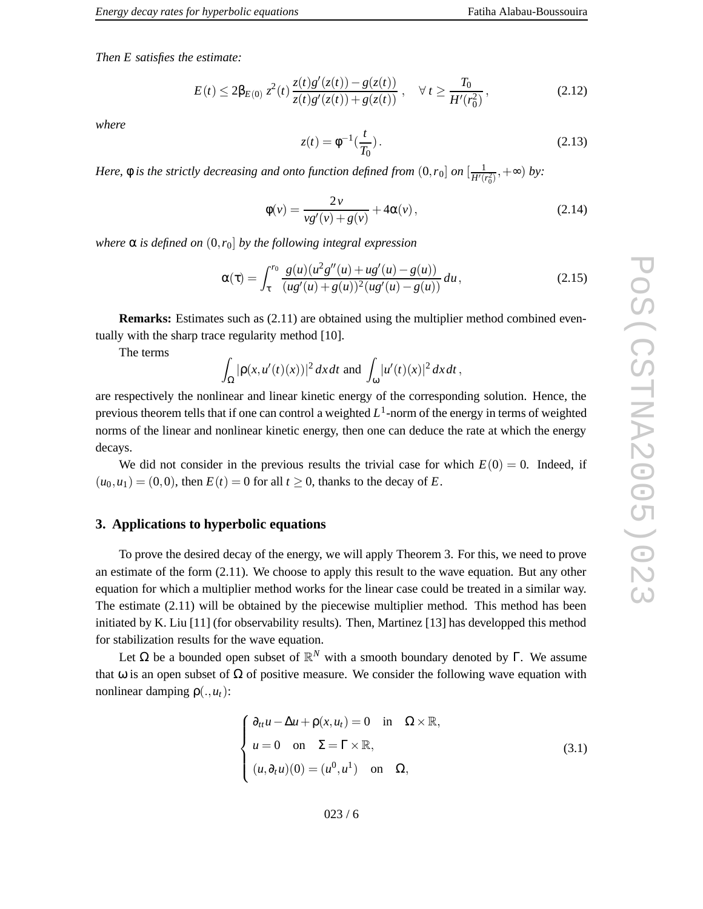*Then E satisfies the estimate:*

$$
E(t) \le 2\beta_{E(0)} z^2(t) \frac{z(t)g'(z(t)) - g(z(t))}{z(t)g'(z(t)) + g(z(t))}, \quad \forall t \ge \frac{T_0}{H'(r_0^2)},
$$
\n(2.12)

*where*

$$
z(t) = \phi^{-1}(\frac{t}{T_0}).
$$
\n(2.13)

*Here,*  $\phi$  *is the strictly decreasing and onto function defined from*  $(0, r_0]$  *on*  $\left[\frac{1}{H'(r_0)}\right]$  $\frac{1}{H'(r_0^2)}, +\infty$ ) *by*:

$$
\phi(v) = \frac{2v}{vg'(v) + g(v)} + 4\alpha(v),
$$
\n(2.14)

*where* α *is defined on* ( 0 , *r* 0 ] *by the following integral expression*

$$
\alpha(\tau) = \int_{\tau}^{r_0} \frac{g(u)(u^2 g''(u) + u g'(u) - g(u))}{(u g'(u) + g(u))^2 (u g'(u) - g(u))} du,
$$
\n(2.15)

**Remarks:** Estimates such as (2.11) are obtained using the multiplier method combined eventually with the sharp trace regularity method [10].

The terms

$$
\int_{\Omega} |\rho(x, u'(t)(x))|^2 dx dt \text{ and } \int_{\omega} |u'(t)(x)|^2 dx dt,
$$

are respecti vely the nonlinear and linear kinetic energy of the corresponding solution. Hence, the previous theorem tells that if one can control a weighted *L* 1 -norm of the energy in terms of weighted norms of the linear and nonlinear kinetic energy , then one can deduce the rate at which the energy decays.

We did not consider in the previous results the trivial case for which  $E(0) = 0$ . Indeed, if  $(u_0, u_1) = (0, 0)$ , then  $E(t) = 0$  for all  $t \ge 0$ , thanks to the decay of E.

### **3. Applications to hyperbolic equations**

To prove the desired decay of the energy, we will apply Theorem 3. For this, we need to prove an estimate of the form (2.11). We choose to apply this result to the wave equation. But any other equation for which a multiplier method works for the linear case could be treated in a similar way. The estimate (2.11) will be obtained by the piecewise multiplier method. This method has been initiated by K. Liu [11 ] (for observability results). Then, Martinez [13 ] has de velopped this method for stabilization results for the w av e equation.

Let Ω be a bounded open subset of  $\mathbb{R}^N$  with a smooth boundary denoted by Γ. We assume that  $\omega$  is an open subset of  $\Omega$  of positive measure. We consider the following wave equation with nonlinear damping  $\rho(.,u_t)$ :

$$
\begin{cases}\n\partial_{tt}u - \Delta u + \rho(x, u_t) = 0 & \text{in } \Omega \times \mathbb{R}, \\
u = 0 & \text{on } \Sigma = \Gamma \times \mathbb{R}, \\
(u, \partial_t u)(0) = (u^0, u^1) & \text{on } \Omega,\n\end{cases}
$$
\n(3.1)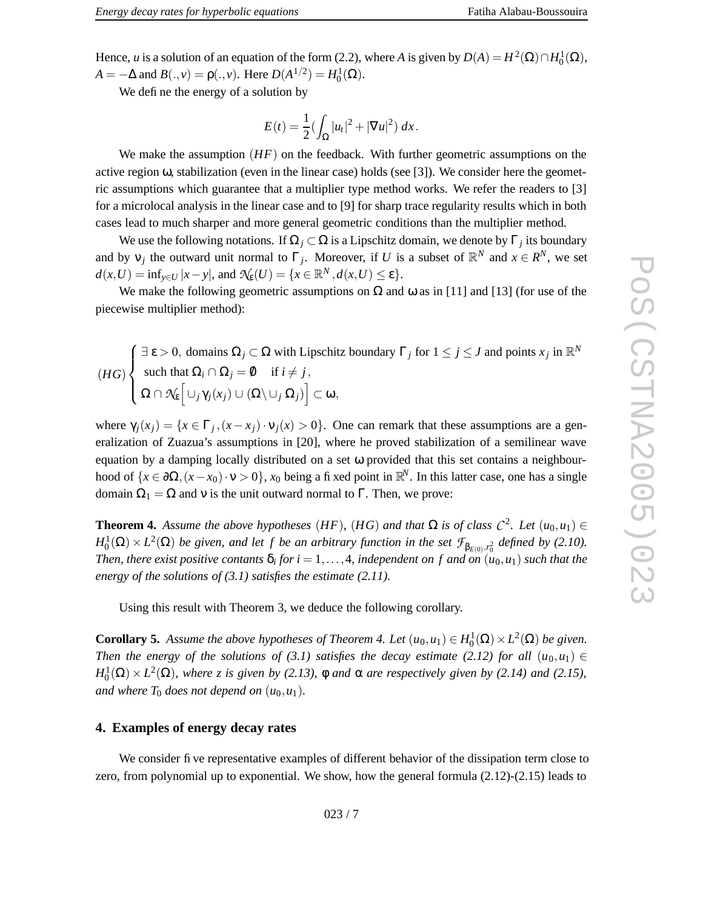Hence, *u* is a solution of an equation of the form (2.2), where *A* is given by  $D(A) = H^2(\Omega) \cap H_0^1(\Omega)$ ,  $A = -\Delta$  and  $B(., v) = \rho(., v)$ . Here  $D(A^{1/2}) = H_0^1(\Omega)$ .

We define the energy of a solution by

$$
E(t) = \frac{1}{2} (\int_{\Omega} |u_t|^2 + |\nabla u|^2) \, dx.
$$

We make the assumption  $(HF)$  on the feedback. With further geometric assumptions on the active region ω, stabilization (even in the linear case) holds (see [3]). We consider here the geometric assumptions which guarantee that a multiplier type method works. We refer the readers to [3] for a microlocal analysis in the linear case and to [9] for sharp trace regularity results which in both cases lead to much sharper and more general geometric conditions than the multiplier method.

We use the following notations. If  $\Omega_j \subset \Omega$  is a Lipschitz domain, we denote by  $\Gamma_j$  its boundary and by  $v_j$  the outward unit normal to  $\Gamma_j$ . Moreover, if U is a subset of  $\mathbb{R}^N$  and  $x \in \mathbb{R}^N$ , we set  $d(x, U) = \inf_{y \in U} |x - y|$ , and  $\mathcal{N}_{\mathbf{E}}(U) = \{x \in \mathbb{R}^N, d(x, U) \le \varepsilon\}.$ 

We make the following geometric assumptions on  $\Omega$  and  $\omega$  as in [11] and [13] (for use of the piecewise multiplier method):

 $(HG)$   $\begin{cases} \exists \varepsilon > 0, \text{ domains } \Omega_j \subset \Omega \text{ with Lipschitz boundary } \Gamma_j \text{ for } 1 \le j \le J \text{ and points } x_j \text{ in } \mathbb{R}^N \\ \text{such that } \Omega_i \cap \Omega_j = \emptyset \quad \text{if } i \ne j, \\ \Omega \cap \mathcal{N}_\varepsilon \Big[ \cup_j \gamma_j(x_j) \cup (\Omega \setminus \cup_j \Omega_j) \Big] \subset \omega, \end{cases}$ such that  $\Omega_i \cap \Omega_j = \emptyset$  if  $i \neq j$ ,  $\Omega \cap \mathcal{N}_\varepsilon\Big[$  $\cup_j \gamma_j(x_j) \cup (\Omega \setminus \cup_j \Omega_j)$  $\subset$  ω,

where  $\gamma_j(x_j) = \{x \in \Gamma_j, (x - x_j) \cdot \nu_j(x) > 0\}$ . One can remark that these assumptions are a generalization of Zuazua's assumptions in [20], where he proved stabilization of a semilinear wave equation by a damping locally distributed on a set ω provided that this set contains a neighbourhood of  $\{x \in \partial\Omega, (x - x_0) \cdot v > 0\}$ ,  $x_0$  being a fixed point in  $\mathbb{R}^N$ . In this latter case, one has a single domain  $\Omega_1 = \Omega$  and v is the unit outward normal to  $\Gamma$ . Then, we prove:

**Theorem 4.** Assume the above hypotheses (HF), (HG) and that  $\Omega$  is of class  $C^2$ . Let  $(u_0, u_1) \in$  $H_0^1(\Omega) \times L^2(\Omega)$  be given, and let f be an arbitrary function in the set  $\mathcal{F}_{\beta_{E(0)},r_0^2}$  defined by (2.10). Then, there exist positive contants  $\delta_i$  for  $i=1,\ldots,4$ , independent on f and on  $(u_0,u_1)$  such that the *energy of the solutions of (3.1) satisfies the estimate (2.11).*

Using this result with Theorem 3, we deduce the following corollary .

**Corollary 5.** Assume the above hypotheses of Theorem 4. Let  $(u_0, u_1) \in H_0^1(\Omega) \times L^2(\Omega)$  be given. *Then* the energy of the solutions of  $(3.1)$  satisfies the decay estimate  $(2.12)$  for all  $(u_0, u_1) \in$  $H_0^1(\Omega) \times L^2(\Omega)$ , where *z* is given by (2.13),  $\phi$  and  $\alpha$  are respectively given by (2.14) and (2.15), *and* where  $T_0$  does not depend on  $(u_0, u_1)$ .

# **4. Examples of energy decay rates**

We consider five representative examples of different behavior of the dissipation term close to zero, from polynomial up to exponential. We show, how the general formula  $(2.12)-(2.15)$  leads to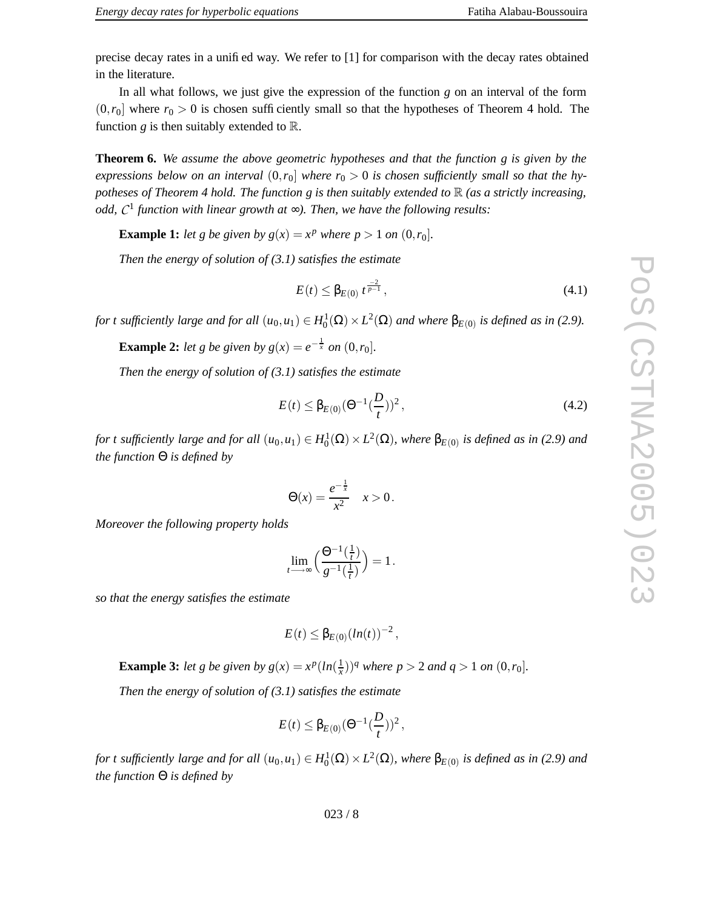In all what follows, we just give the expression of the function  $g$  on an interval of the form  $(0, r_0]$  where  $r_0 > 0$  is chosen sufficiently small so that the hypotheses of Theorem 4 hold. The function  $g$  is then suitably extended to  $\mathbb{R}$ .

**Theorem 6.** *We assume the above geometric hypotheses and that the function g is given by the* expressions below on an interval  $(0, r_0]$  where  $r_0 > 0$  is chosen sufficiently small so that the hy*potheses of Theorem 4 hold. The function g is then suitably extended to* R *(as a strictly increasing, odd, C* 1 *function with linear growth at* ∞*). Then, we have the following results:*

**Example 1:** *let g be given by*  $g(x) = x^p$  *where*  $p > 1$  *on*  $(0, r_0]$ *.* 

*Then the energy of solution of (3.1) satisfies the estimate*

$$
E(t) \leq \beta_{E(0)} t^{\frac{-2}{p-1}},
$$
\n(4.1)

for t sufficiently large and for all  $(u_0, u_1) \in H_0^1(\Omega) \times L^2(\Omega)$  and where  $\beta_{E(0)}$  is defined as in (2.9).

**Example 2:** *let g be given by*  $g(x) = e^{-\frac{1}{x}}$  *on*  $(0, r_0]$ *.* 

*Then the energy of solution of (3.1) satisfies the estimate*

$$
E(t) \leq \beta_{E(0)} (\Theta^{-1}(\frac{D}{t}))^2, \qquad (4.2)
$$

for t sufficiently large and for all  $(u_0,u_1)\in H_0^1(\Omega)\times L^2(\Omega)$ , where  $\beta_{E(0)}$  is defined as in (2.9) and *the function* Θ *is defined by*

$$
\Theta(x) = \frac{e^{-\frac{1}{x}}}{x^2} \quad x > 0.
$$

*Moreover the following property holds*

$$
\lim_{t \longrightarrow \infty} \left( \frac{\Theta^{-1}(\frac{1}{t})}{g^{-1}(\frac{1}{t})} \right) = 1.
$$

*so that the energy satisfies the estimate* 

$$
E(t) \leq \beta_{E(0)} (ln(t))^{-2},
$$

**Example 3:** *let g be given by*  $g(x) = x^p (\ln(\frac{1}{x}))$  $(\frac{1}{x})^q$  *where*  $p > 2$  *and*  $q > 1$  *on*  $(0, r_0]$ *.* 

*Then the energy of solution of (3.1) satisfies the estimate*

$$
E(t) \leq \beta_{E(0)} (\Theta^{-1}(\frac{D}{t}))^2
$$
,

for t sufficiently large and for all  $(u_0,u_1)\in H_0^1(\Omega)\times L^2(\Omega)$ , where  $\beta_{E(0)}$  is defined as in (2.9) and *the function* Θ *is defined by*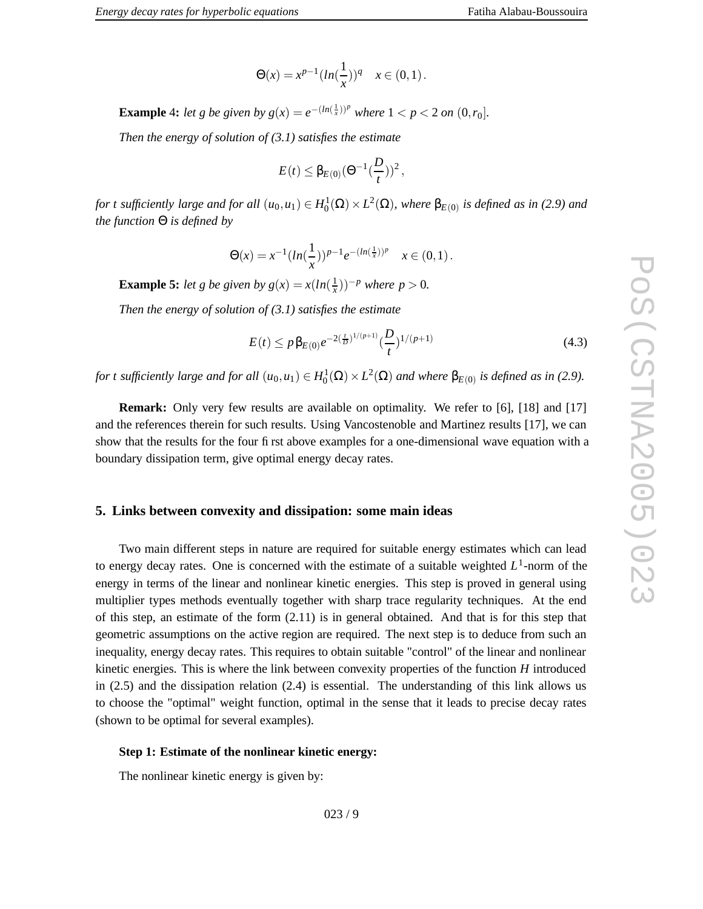$$
\Theta(x) = x^{p-1} (ln(\frac{1}{x}))^q \quad x \in (0,1).
$$

**Example 4:** let g be given by  $g(x) = e^{-(\ln(\frac{1}{x}))^p}$  where  $1 < p < 2$  on  $(0, r_0]$ .

*Then the energy of solution of (3.1) satisfies the estimate*

$$
E(t) \leq \beta_{E(0)} (\Theta^{-1}(\frac{D}{t}))^2
$$
,

for t sufficiently large and for all  $(u_0,u_1)\in H_0^1(\Omega)\times L^2(\Omega)$ , where  $\beta_{E(0)}$  is defined as in (2.9) and *the function* Θ *is defined by*

$$
\Theta(x) = x^{-1} (\ln(\frac{1}{x}))^{p-1} e^{-(\ln(\frac{1}{x}))^p} \quad x \in (0,1).
$$

**Example 5:** *let g be given by*  $g(x) = x(ln(\frac{1}{x}))$  $(\frac{1}{x})$ <sup> $-p$ </sup> where  $p > 0$ .

*Then the energy of solution of (3.1) satisfies the estimate*

$$
E(t) \le p\beta_{E(0)}e^{-2(\frac{t}{D})^{1/(p+1)}}(\frac{D}{t})^{1/(p+1)}
$$
\n(4.3)

for t sufficiently large and for all  $(u_0, u_1) \in H_0^1(\Omega) \times L^2(\Omega)$  and where  $\beta_{E(0)}$  is defined as in (2.9).

**Remark:** Only very few results are available on optimality. We refer to [6], [18] and [17] and the references therein for such results. Using Vancostenoble and Martinez results [17], we can show that the results for the four first above examples for a one-dimensional wave equation with a boundary dissipation term, give optimal energy decay rates.

#### **5. Links between convexity and dissipation: some main ideas**

Two main different steps in nature are required for suitable energy estimates which can lead to energy decay rates. One is concerned with the estimate of a suitable weighted *L* 1 -norm of the energy in terms of the linear and nonlinear kinetic energies. This step is proved in general using multiplier types methods e ventually together with sharp trace regularity techniques. At the end of this step, an estimate of the form (2.11) is in general obtained. And that is for this step that geometric assumptions on the active region are required. The next step is to deduce from such an inequality , energy decay rates. This requires to obtain suitable "control" of the linear and nonlinear kinetic energies. This is where the link between conv exity properties of the function *H* introduced in (2.5) and the dissipation relation (2.4) is essential. The understanding of this link allows us to choose the "optimal" weight function, optimal in the sense that it leads to precise decay rates (shown to be optimal for se veral examples).

#### **Step 1: Estimate of the nonlinear kinetic energy:**

The nonlinear kinetic energy is given by: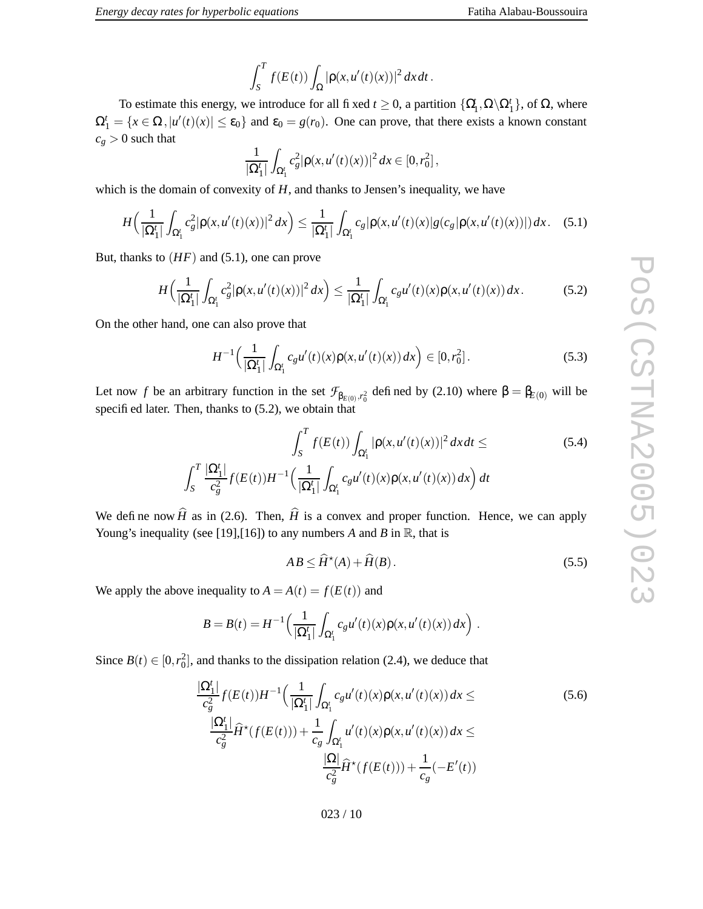$$
\int_{S}^{T} f(E(t)) \int_{\Omega} |\rho(x, u'(t)(x))|^2 dx dt.
$$

To estimate this energy, we introduce for all fixed  $t \ge 0$ , a partition  $\{\Omega_1', \Omega \setminus \Omega_1'\}$ , of  $\Omega$ , where  $\Omega_1^t = \{x \in \Omega, |u'(t)(x)| \le \varepsilon_0\}$  and  $\varepsilon_0 = g(r_0)$ . One can prove, that there exists a known constant  $c_g > 0$  such that

$$
\frac{1}{|\Omega_1^t|} \int_{\Omega_1^t} c_g^2 |\rho(x, u'(t)(x))|^2 dx \in [0, r_0^2],
$$

which is the domain of convexity of  $H$ , and thanks to Jensen's inequality, we have

$$
H\left(\frac{1}{|\Omega_1'|}\int_{\Omega_1'}c_g^2|\rho(x,u'(t)(x))|^2\,dx\right)\leq \frac{1}{|\Omega_1'|}\int_{\Omega_1'}c_g|\rho(x,u'(t)(x)|g(c_g|\rho(x,u'(t)(x))|)\,dx.\quad(5.1)
$$

But, thanks to  $(HF)$  and  $(5.1)$ , one can prove

$$
H\left(\frac{1}{|\Omega_1'|}\int_{\Omega_1'}c_g^2|\rho(x,u'(t)(x))|^2\,dx\right)\leq \frac{1}{|\Omega_1'|}\int_{\Omega_1'}c_gu'(t)(x)\rho(x,u'(t)(x))\,dx.\tag{5.2}
$$

On the other hand, one can also prove that

$$
H^{-1}\left(\frac{1}{|\Omega_1^t|}\int_{\Omega_1^t} c_g u'(t)(x)\rho(x, u'(t)(x)) dx\right) \in [0, r_0^2].
$$
\n(5.3)

Let now *f* be an arbitrary function in the set  $\mathcal{F}_{\beta_{E(0)}, r_0^2}$  defined by (2.10) where  $\beta = \beta_{E(0)}$  will be specified later. Then, thanks to (5.2), we obtain that

$$
\int_{S}^{T} f(E(t)) \int_{\Omega_{1}'} |\rho(x, u'(t)(x))|^{2} dx dt \leq
$$
\n(5.4)\n
$$
\int_{S}^{T} \frac{|\Omega_{1}^{t}|}{c_{g}^{2}} f(E(t)) H^{-1} \Big( \frac{1}{|\Omega_{1}^{t}|} \int_{\Omega_{1}^{t}} c_{g} u'(t)(x) \rho(x, u'(t)(x)) dx \Big) dt
$$

We define now  $\hat{H}$  as in (2.6). Then,  $\hat{H}$  is a convex and proper function. Hence, we can apply Young's inequality (see [19], [16]) to any numbers A and B in  $\mathbb{R}$ , that is

$$
AB \le \widehat{H}^*(A) + \widehat{H}(B). \tag{5.5}
$$

We apply the above inequality to  $A = A(t) = f(E(t))$  and

$$
B = B(t) = H^{-1}\left(\frac{1}{|\Omega_1^t|}\int_{\Omega_1^t} c_g u'(t)(x)\rho(x, u'(t)(x)) dx\right).
$$

Since  $B(t) \in [0, r_0^2]$ , and thanks to the dissipation relation (2.4), we deduce that

$$
\frac{|\Omega_{1}^{t}|}{c_{g}^{2}} f(E(t))H^{-1} \Big(\frac{1}{|\Omega_{1}^{t}|} \int_{\Omega_{1}^{t}} c_{g} u'(t)(x) \rho(x, u'(t)(x)) dx \leq
$$
\n
$$
\frac{|\Omega_{1}^{t}|}{c_{g}^{2}} \widehat{H}^{*}(f(E(t))) + \frac{1}{c_{g}} \int_{\Omega_{1}^{t}} u'(t)(x) \rho(x, u'(t)(x)) dx \leq
$$
\n
$$
\frac{|\Omega|}{c_{g}^{2}} \widehat{H}^{*}(f(E(t))) + \frac{1}{c_{g}} (-E'(t))
$$
\n(5.6)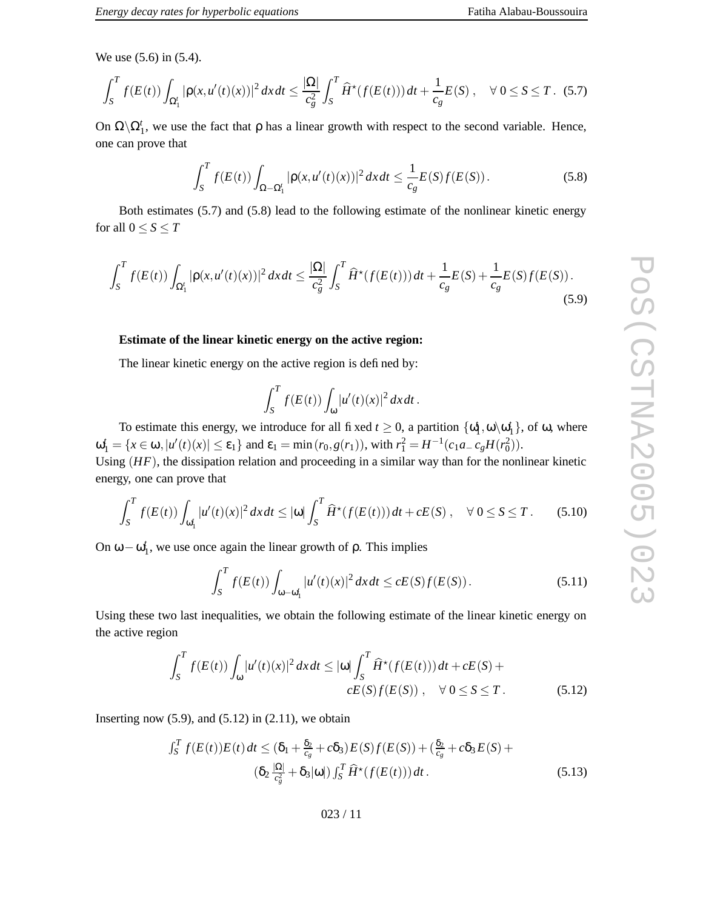$$
\int_{S}^{T} f(E(t)) \int_{\Omega_{1}'} |\rho(x, u'(t)(x))|^{2} dx dt \leq \frac{|\Omega|}{c_{g}^{2}} \int_{S}^{T} \widehat{H}^{\star}(f(E(t))) dt + \frac{1}{c_{g}} E(S) , \quad \forall \ 0 \leq S \leq T. \tag{5.7}
$$

On  $\Omega \backslash \Omega_1^t$ , we use the fact that  $\rho$  has a linear growth with respect to the second variable. Hence, one can pro v e that

$$
\int_{S}^{T} f(E(t)) \int_{\Omega - \Omega_1'} |\rho(x, u'(t)(x))|^2 dx dt \le \frac{1}{c_g} E(S) f(E(S)).
$$
\n(5.8)

Fatiha Alabau-Boussouira

Both estimates (5.7) and (5.8) lead to the following estimate of the nonlinear kinetic energy for all  $0 \leq S \leq T$ 

$$
\int_{S}^{T} f(E(t)) \int_{\Omega_{1}'} |\rho(x, u'(t)(x))|^{2} dx dt \leq \frac{|\Omega|}{c_{g}^{2}} \int_{S}^{T} \widehat{H}^{*}(f(E(t))) dt + \frac{1}{c_{g}} E(S) + \frac{1}{c_{g}} E(S) f(E(S)).
$$
\n(5.9)

#### **Estimate of the linear kinetic energy on the acti v e region:**

The linear kinetic energy on the active region is defined by:

$$
\int_S^T f(E(t)) \int_{\omega} |u'(t)(x)|^2 dx dt.
$$

To estimate this energy, we introduce for all fixed  $t \ge 0$ , a partition  $\{\omega_1^t, \omega \setminus \omega_1^t\}$ , of  $\omega$ , where  $\omega_1^t = \{x \in \omega, |u'(t)(x)| \le \varepsilon_1\}$  and  $\varepsilon_1 = \min(r_0, g(r_1)),$  with  $r_1^2 = H^{-1}(c_1a - c_gH(r_0^2)).$ 

Using  $(HF)$ , the dissipation relation and proceeding in a similar way than for the nonlinear kinetic energy, one can prove that

$$
\int_{S}^{T} f(E(t)) \int_{\omega_1'} |u'(t)(x)|^2 dx dt \leq |\omega| \int_{S}^{T} \widehat{H}^{\star}(f(E(t))) dt + cE(S), \quad \forall \ 0 \leq S \leq T. \tag{5.10}
$$

On  $ω - ω_1^t$ , we use once again the linear growth of  $ρ$ . This implies

$$
\int_{S}^{T} f(E(t)) \int_{\omega - \omega_1'} |u'(t)(x)|^2 dx dt \le cE(S)f(E(S)).
$$
\n(5.11)

Using these tw o last inequalities, we obtain the following estimate of the linear kinetic energy on the active region

$$
\int_{S}^{T} f(E(t)) \int_{\omega} |u'(t)(x)|^{2} dx dt \leq |\omega| \int_{S}^{T} \widehat{H}^{\star}(f(E(t))) dt + cE(S) +
$$
  

$$
cE(S)f(E(S)), \quad \forall \ 0 \leq S \leq T.
$$
 (5.12)

Inserting now  $(5.9)$ , and  $(5.12)$  in  $(2.11)$ , we obtain

$$
\int_{S}^{T} f(E(t))E(t) dt \leq (\delta_1 + \frac{\delta_2}{c_g} + c\delta_3)E(S)f(E(S)) + (\frac{\delta_2}{c_g} + c\delta_3E(S)) + (\delta_2 \frac{|\Omega|}{c_g^2} + \delta_3|\omega|) \int_{S}^{T} \widehat{H}^{\star}(f(E(t))) dt.
$$
\n(5.13)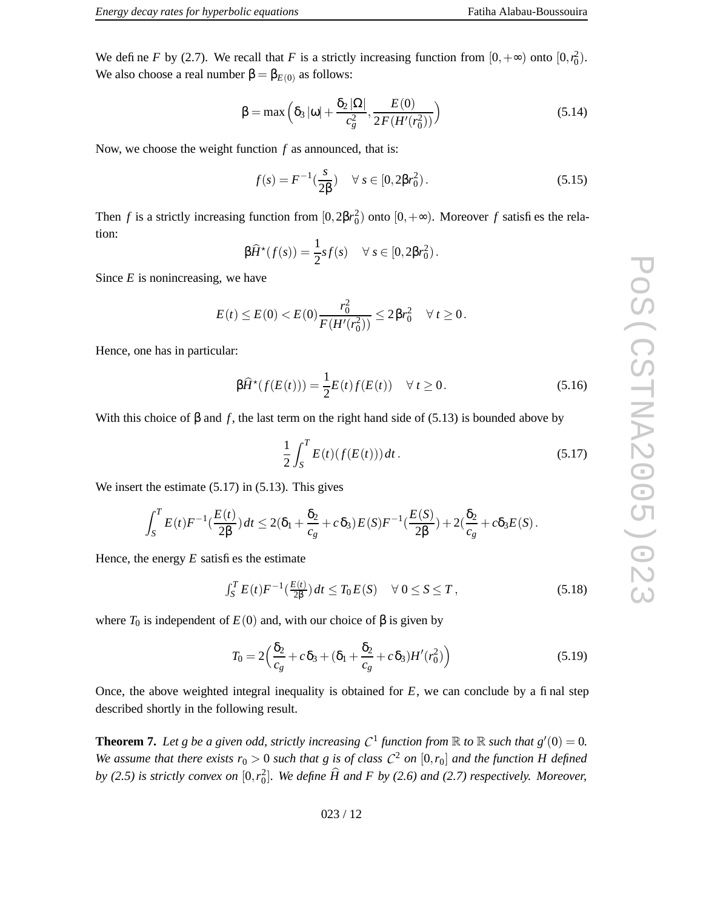We define *F* by (2.7). We recall that *F* is a strictly increasing function from  $[0, +\infty)$  onto  $[0, r_0^2)$ . We also choose a real number  $\beta = \beta_{E(0)}$  as follows:

$$
\beta = \max\left(\delta_3 |\omega| + \frac{\delta_2 |\Omega|}{c_g^2}, \frac{E(0)}{2F(H'(r_0^2))}\right) \tag{5.14}
$$

Now, we choose the weight function  $f$  as announced, that is:

$$
f(s) = F^{-1}(\frac{s}{2\beta}) \quad \forall \ s \in [0, 2\beta r_0^2). \tag{5.15}
$$

Then *f* is a strictly increasing function from  $[0,2\beta r_0^2)$  onto  $[0,+\infty)$ . Moreover *f* satisfies the relation:

$$
\beta \widehat{H}^{\star}(f(s)) = \frac{1}{2} s f(s) \quad \forall s \in [0, 2\beta r_0^2).
$$

Since *E* is nonincreasing, we have

$$
E(t) \leq E(0) < E(0) \frac{r_0^2}{F(H'(r_0^2))} \leq 2\beta r_0^2 \quad \forall \ t \geq 0.
$$

Hence, one has in particular:

$$
\beta \widehat{H}^{\star}(f(E(t))) = \frac{1}{2}E(t)f(E(t)) \quad \forall t \ge 0.
$$
\n(5.16)

With this choice of  $\beta$  and f, the last term on the right hand side of (5.13) is bounded above by

$$
\frac{1}{2} \int_{S}^{T} E(t) (f(E(t))) dt.
$$
 (5.17)

We insert the estimate  $(5.17)$  in  $(5.13)$ . This gives

$$
\int_S^T E(t) F^{-1}(\frac{E(t)}{2\beta}) dt \leq 2(\delta_1 + \frac{\delta_2}{c_g} + c\delta_3) E(S) F^{-1}(\frac{E(S)}{2\beta}) + 2(\frac{\delta_2}{c_g} + c\delta_3 E(S)).
$$

Hence, the energy *E* satisfies the estimate

$$
\int_{S}^{T} E(t) F^{-1}(\frac{E(t)}{2\beta}) dt \leq T_0 E(S) \quad \forall \ 0 \leq S \leq T,
$$
\n(5.18)

where  $T_0$  is independent of  $E(0)$  and, with our choice of  $\beta$  is given by

$$
T_0 = 2\left(\frac{\delta_2}{c_g} + c\,\delta_3 + (\delta_1 + \frac{\delta_2}{c_g} + c\,\delta_3)H'(r_0^2)\right) \tag{5.19}
$$

Once, the above weighted integral inequality is obtained for  $E$ , we can conclude by a final step described shortly in the following result.

**Theorem 7.** Let g be a given odd, strictly increasing  $C^1$  function from  $\mathbb R$  to  $\mathbb R$  such that  $g'(0) = 0$ . We assume that there exists  $r_0 > 0$  such that g is of class  $C^2$  on  $[0,r_0]$  and the function H defined by (2.5) is strictly convex on  $[0,r_0^2]$ . We define  $\widehat{H}$  and F by (2.6) and (2.7) respectively. Moreover,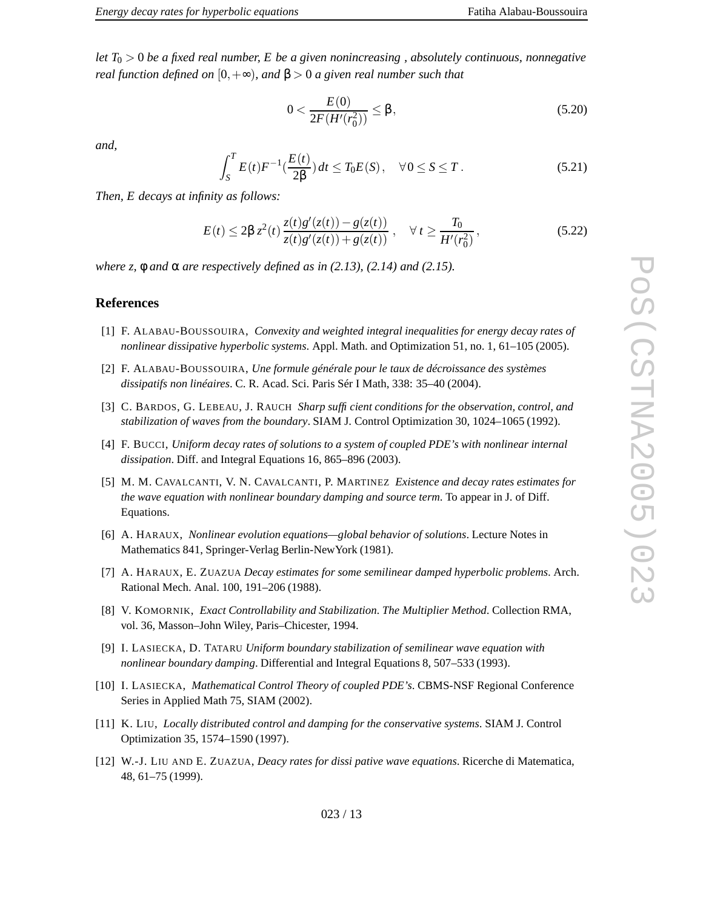*let T*0 > 0 *be a fixed real number, E be a given nonincreasing , absolutely continuous, nonnegative real function defined on*  $[0, +\infty)$ *, and*  $\beta > 0$  *a given real number such that* 

$$
0 < \frac{E(0)}{2F(H'(r_0^2))} \le \beta,\tag{5.20}
$$

*and,*

$$
\int_{S}^{T} E(t) F^{-1}(\frac{E(t)}{2\beta}) dt \le T_0 E(S), \quad \forall 0 \le S \le T.
$$
 (5.21)

*Then, E decays at infinity as follows:*

$$
E(t) \le 2\beta z^2(t) \frac{z(t)g'(z(t)) - g(z(t))}{z(t)g'(z(t)) + g(z(t))}, \quad \forall t \ge \frac{T_0}{H'(r_0^2)},
$$
\n(5.22)

 $where z, \phi$  *and*  $\alpha$  *are respectively defined as in* (2.13), (2.14) *and* (2.15).

## **References**

- [1] F . A L A BAU B O U S S O U I R A , *Convexity and weighted integral inequalities for energy decay rates of nonlinear dissipative hyperbolic systems* . Appl. Math. and Optimization 51, no. 1, 61–105 (2005).
- [2] F . A L A BAU B O U S S O U I R A , *Une formule générale pour le taux de décroissance des systèmes dissipatifs non linéaires* . C. R. Acad. Sci. Paris Sér I Math, 338: 35–40 (2004).
- [3] C . B A R D O S , G . L E B EAU , J . RAU C H *Sharp sufficient conditions for the observation, control, and stabilization of waves from the boundary* . SIAM J. Control Optimization 30, 1024–1065 (1992).
- [4] F . B U C C I , *Uniform decay rates of solutions to a system of coupled PDE' s with nonlinear internal dissipation* . Diff. and Integral Equations 16, 865–896 (2003).
- [5] M . M . C AVA L C A N T I , V . N . C AVA L C A N T I , P . M ART I N E Z *Existence and decay rates estimates for the wave equation with nonlinear boundary damping and source term* . To appear in J. of Diff. Equations.
- [6] A . H A RAU X , *Nonlinear evolution equations—global behavior of solutions* . Lecture Notes in Mathematics 841, Springer-Verlag Berlin-NewYork (1981).
- [7] A . H A RAU X , E . Z U A Z U A *Decay estimates for some semilinear damped hyperbolic problems* . Arch. Rational Mech. Anal. 100, 191–206 (1988).
- [8] V . K O M O R N I K , *Exact Controllability and Stabilization. The Multiplier Method* . Collection RMA, vol. 36, Masson–John Wile y , Paris–Chicester , 1994.
- [9] I . L A S I E C K A , D . TAT A R U *Uniform boundary stabilization of semilinear wave equation with nonlinear boundary damping* . Differential and Integral Equations 8, 507–533 (1993).
- [10] I . L A S I E C K A , *Mathematical Control Theory of coupled PDE' s* . CBMS-NSF Regional Conference Series in Applied Math 75, SIAM (2002).
- [11] K . L I U , *Locally distributed control and damping for the conservative systems* . SIAM J. Control Optimization 35, 1574–1590 (1997).
- [12] W . J . L I U A N D E . Z U A Z U A , *Deacy rates for dissi pative wave equations* . Ricerche di Matematica, 48, 61–75 (1999).